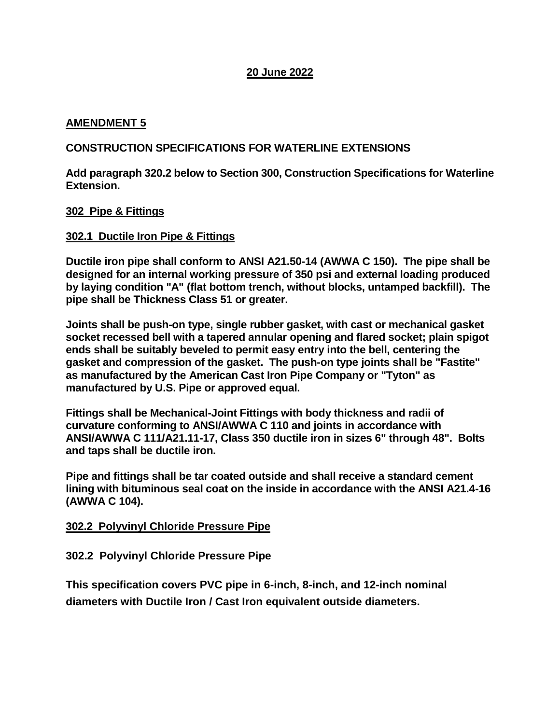# **20 June 2022**

# **AMENDMENT 5**

# **CONSTRUCTION SPECIFICATIONS FOR WATERLINE EXTENSIONS**

**Add paragraph 320.2 below to Section 300, Construction Specifications for Waterline Extension.**

## **302 Pipe & Fittings**

## **302.1 Ductile Iron Pipe & Fittings**

**Ductile iron pipe shall conform to ANSI A21.50-14 (AWWA C 150). The pipe shall be designed for an internal working pressure of 350 psi and external loading produced by laying condition "A" (flat bottom trench, without blocks, untamped backfill). The pipe shall be Thickness Class 51 or greater.**

**Joints shall be push-on type, single rubber gasket, with cast or mechanical gasket socket recessed bell with a tapered annular opening and flared socket; plain spigot ends shall be suitably beveled to permit easy entry into the bell, centering the gasket and compression of the gasket. The push-on type joints shall be "Fastite" as manufactured by the American Cast Iron Pipe Company or "Tyton" as manufactured by U.S. Pipe or approved equal.**

**Fittings shall be Mechanical-Joint Fittings with body thickness and radii of curvature conforming to ANSI/AWWA C 110 and joints in accordance with ANSI/AWWA C 111/A21.11-17, Class 350 ductile iron in sizes 6" through 48". Bolts and taps shall be ductile iron.**

**Pipe and fittings shall be tar coated outside and shall receive a standard cement lining with bituminous seal coat on the inside in accordance with the ANSI A21.4-16 (AWWA C 104).**

## **302.2 Polyvinyl Chloride Pressure Pipe**

## **302.2 Polyvinyl Chloride Pressure Pipe**

**This specification covers PVC pipe in 6-inch, 8-inch, and 12-inch nominal diameters with Ductile Iron / Cast Iron equivalent outside diameters.**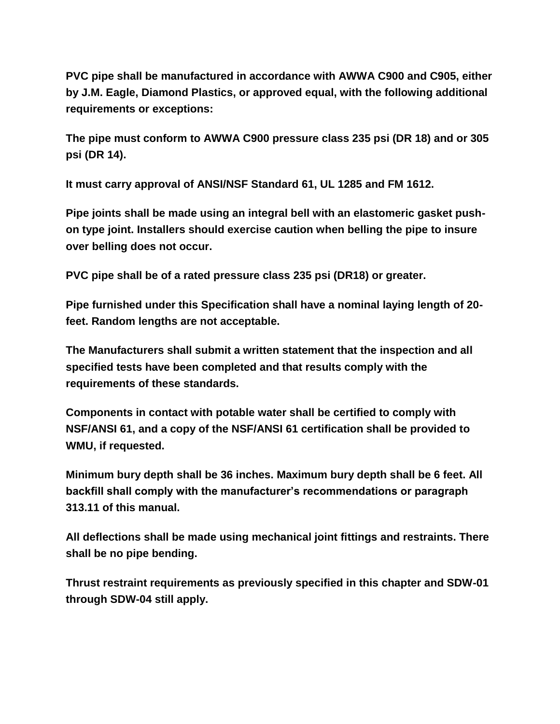**PVC pipe shall be manufactured in accordance with AWWA C900 and C905, either by J.M. Eagle, Diamond Plastics, or approved equal, with the following additional requirements or exceptions:**

**The pipe must conform to AWWA C900 pressure class 235 psi (DR 18) and or 305 psi (DR 14).**

**It must carry approval of ANSI/NSF Standard 61, UL 1285 and FM 1612.**

**Pipe joints shall be made using an integral bell with an elastomeric gasket pushon type joint. Installers should exercise caution when belling the pipe to insure over belling does not occur.**

**PVC pipe shall be of a rated pressure class 235 psi (DR18) or greater.**

**Pipe furnished under this Specification shall have a nominal laying length of 20 feet. Random lengths are not acceptable.** 

**The Manufacturers shall submit a written statement that the inspection and all specified tests have been completed and that results comply with the requirements of these standards.** 

**Components in contact with potable water shall be certified to comply with NSF/ANSI 61, and a copy of the NSF/ANSI 61 certification shall be provided to WMU, if requested.** 

**Minimum bury depth shall be 36 inches. Maximum bury depth shall be 6 feet. All backfill shall comply with the manufacturer's recommendations or paragraph 313.11 of this manual.** 

**All deflections shall be made using mechanical joint fittings and restraints. There shall be no pipe bending.** 

**Thrust restraint requirements as previously specified in this chapter and SDW-01 through SDW-04 still apply.**